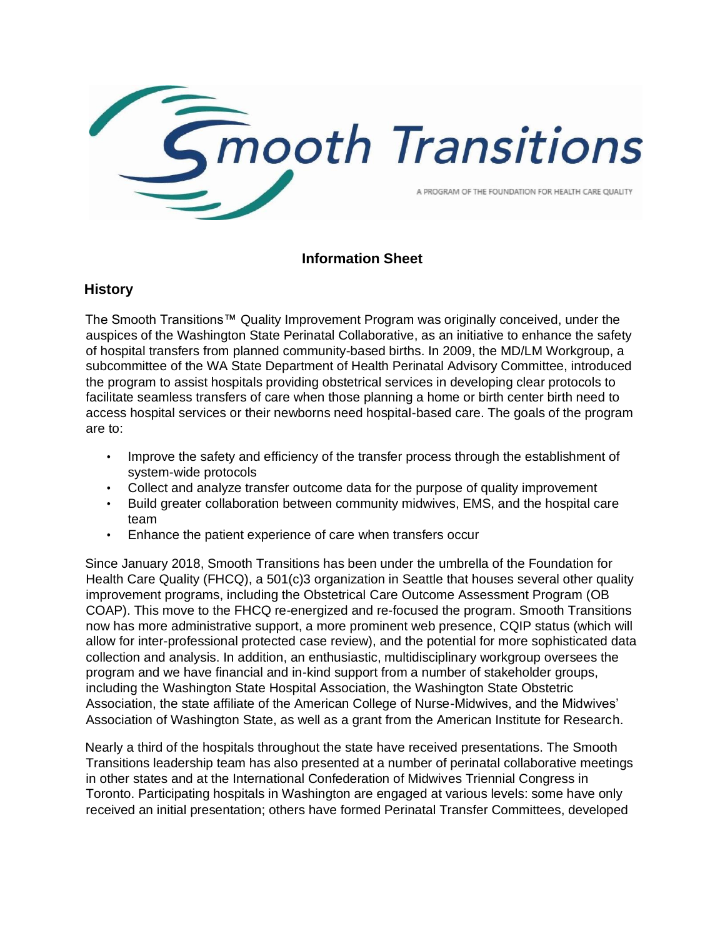

## **Information Sheet**

#### **History**

The Smooth Transitions™ Quality Improvement Program was originally conceived, under the auspices of the Washington State Perinatal Collaborative, as an initiative to enhance the safety of hospital transfers from planned community-based births. In 2009, the MD/LM Workgroup, a subcommittee of the WA State Department of Health Perinatal Advisory Committee, introduced the program to assist hospitals providing obstetrical services in developing clear protocols to facilitate seamless transfers of care when those planning a home or birth center birth need to access hospital services or their newborns need hospital-based care. The goals of the program are to:

- Improve the safety and efficiency of the transfer process through the establishment of system-wide protocols
- Collect and analyze transfer outcome data for the purpose of quality improvement
- Build greater collaboration between community midwives, EMS, and the hospital care team
- Enhance the patient experience of care when transfers occur

Since January 2018, Smooth Transitions has been under the umbrella of the Foundation for Health Care Quality (FHCQ), a 501(c)3 organization in Seattle that houses several other quality improvement programs, including the Obstetrical Care Outcome Assessment Program (OB COAP). This move to the FHCQ re-energized and re-focused the program. Smooth Transitions now has more administrative support, a more prominent web presence, CQIP status (which will allow for inter-professional protected case review), and the potential for more sophisticated data collection and analysis. In addition, an enthusiastic, multidisciplinary workgroup oversees the program and we have financial and in-kind support from a number of stakeholder groups, including the Washington State Hospital Association, the Washington State Obstetric Association, the state affiliate of the American College of Nurse-Midwives, and the Midwives' Association of Washington State, as well as a grant from the American Institute for Research.

Nearly a third of the hospitals throughout the state have received presentations. The Smooth Transitions leadership team has also presented at a number of perinatal collaborative meetings in other states and at the International Confederation of Midwives Triennial Congress in Toronto. Participating hospitals in Washington are engaged at various levels: some have only received an initial presentation; others have formed Perinatal Transfer Committees, developed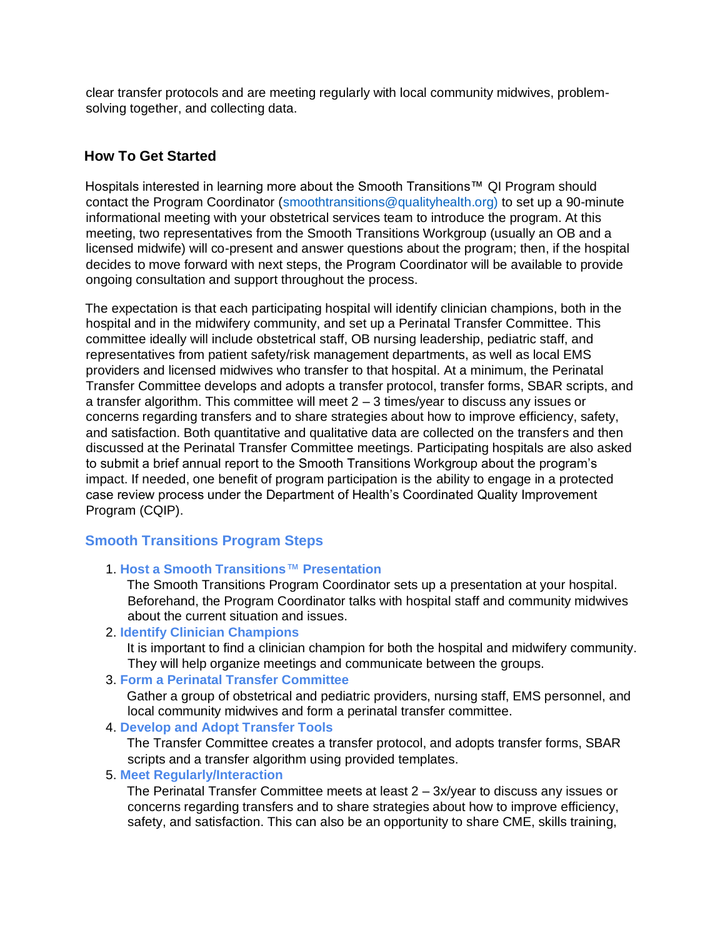clear transfer protocols and are meeting regularly with local community midwives, problemsolving together, and collecting data.

## **How To Get Started**

Hospitals interested in learning more about the Smooth Transitions™ QI Program should contact the Program Coordinator (smoothtransitions@qualityhealth.org) to set up a 90-minute informational meeting with your obstetrical services team to introduce the program. At this meeting, two representatives from the Smooth Transitions Workgroup (usually an OB and a licensed midwife) will co-present and answer questions about the program; then, if the hospital decides to move forward with next steps, the Program Coordinator will be available to provide ongoing consultation and support throughout the process.

The expectation is that each participating hospital will identify clinician champions, both in the hospital and in the midwifery community, and set up a Perinatal Transfer Committee. This committee ideally will include obstetrical staff, OB nursing leadership, pediatric staff, and representatives from patient safety/risk management departments, as well as local EMS providers and licensed midwives who transfer to that hospital. At a minimum, the Perinatal Transfer Committee develops and adopts a transfer protocol, transfer forms, SBAR scripts, and a transfer algorithm. This committee will meet 2 – 3 times/year to discuss any issues or concerns regarding transfers and to share strategies about how to improve efficiency, safety, and satisfaction. Both quantitative and qualitative data are collected on the transfers and then discussed at the Perinatal Transfer Committee meetings. Participating hospitals are also asked to submit a brief annual report to the Smooth Transitions Workgroup about the program's impact. If needed, one benefit of program participation is the ability to engage in a protected case review process under the Department of Health's Coordinated Quality Improvement Program (CQIP).

# **Smooth Transitions Program Steps**

1. **Host a Smooth Transitions**™ **Presentation**

The Smooth Transitions Program Coordinator sets up a presentation at your hospital. Beforehand, the Program Coordinator talks with hospital staff and community midwives about the current situation and issues.

2. **Identify Clinician Champions**

It is important to find a clinician champion for both the hospital and midwifery community. They will help organize meetings and communicate between the groups.

3. **Form a Perinatal Transfer Committee**

Gather a group of obstetrical and pediatric providers, nursing staff, EMS personnel, and local community midwives and form a perinatal transfer committee.

4. **Develop and Adopt Transfer Tools**

The Transfer Committee creates a transfer protocol, and adopts transfer forms, SBAR scripts and a transfer algorithm using provided templates.

5. **Meet Regularly/Interaction**

The Perinatal Transfer Committee meets at least 2 – 3x/year to discuss any issues or concerns regarding transfers and to share strategies about how to improve efficiency, safety, and satisfaction. This can also be an opportunity to share CME, skills training,